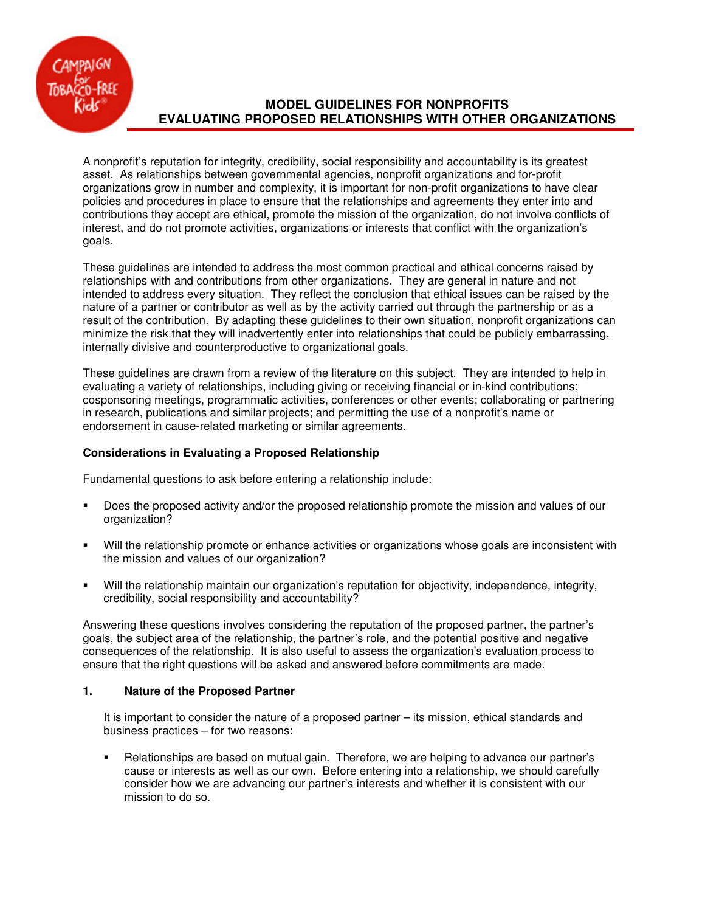# **MODEL GUIDELINES FOR NONPROFITS EVALUATING PROPOSED RELATIONSHIPS WITH OTHER ORGANIZATIONS**

A nonprofit's reputation for integrity, credibility, social responsibility and accountability is its greatest asset. As relationships between governmental agencies, nonprofit organizations and for-profit organizations grow in number and complexity, it is important for non-profit organizations to have clear policies and procedures in place to ensure that the relationships and agreements they enter into and contributions they accept are ethical, promote the mission of the organization, do not involve conflicts of interest, and do not promote activities, organizations or interests that conflict with the organization's goals.

These guidelines are intended to address the most common practical and ethical concerns raised by relationships with and contributions from other organizations. They are general in nature and not intended to address every situation. They reflect the conclusion that ethical issues can be raised by the nature of a partner or contributor as well as by the activity carried out through the partnership or as a result of the contribution. By adapting these guidelines to their own situation, nonprofit organizations can minimize the risk that they will inadvertently enter into relationships that could be publicly embarrassing, internally divisive and counterproductive to organizational goals.

These guidelines are drawn from a review of the literature on this subject. They are intended to help in evaluating a variety of relationships, including giving or receiving financial or in-kind contributions; cosponsoring meetings, programmatic activities, conferences or other events; collaborating or partnering in research, publications and similar projects; and permitting the use of a nonprofit's name or endorsement in cause-related marketing or similar agreements.

# **Considerations in Evaluating a Proposed Relationship**

Fundamental questions to ask before entering a relationship include:

- Does the proposed activity and/or the proposed relationship promote the mission and values of our organization?
- Will the relationship promote or enhance activities or organizations whose goals are inconsistent with the mission and values of our organization?
- Will the relationship maintain our organization's reputation for objectivity, independence, integrity, credibility, social responsibility and accountability?

Answering these questions involves considering the reputation of the proposed partner, the partner's goals, the subject area of the relationship, the partner's role, and the potential positive and negative consequences of the relationship. It is also useful to assess the organization's evaluation process to ensure that the right questions will be asked and answered before commitments are made.

### **1. Nature of the Proposed Partner**

It is important to consider the nature of a proposed partner – its mission, ethical standards and business practices – for two reasons:

 Relationships are based on mutual gain. Therefore, we are helping to advance our partner's cause or interests as well as our own. Before entering into a relationship, we should carefully consider how we are advancing our partner's interests and whether it is consistent with our mission to do so.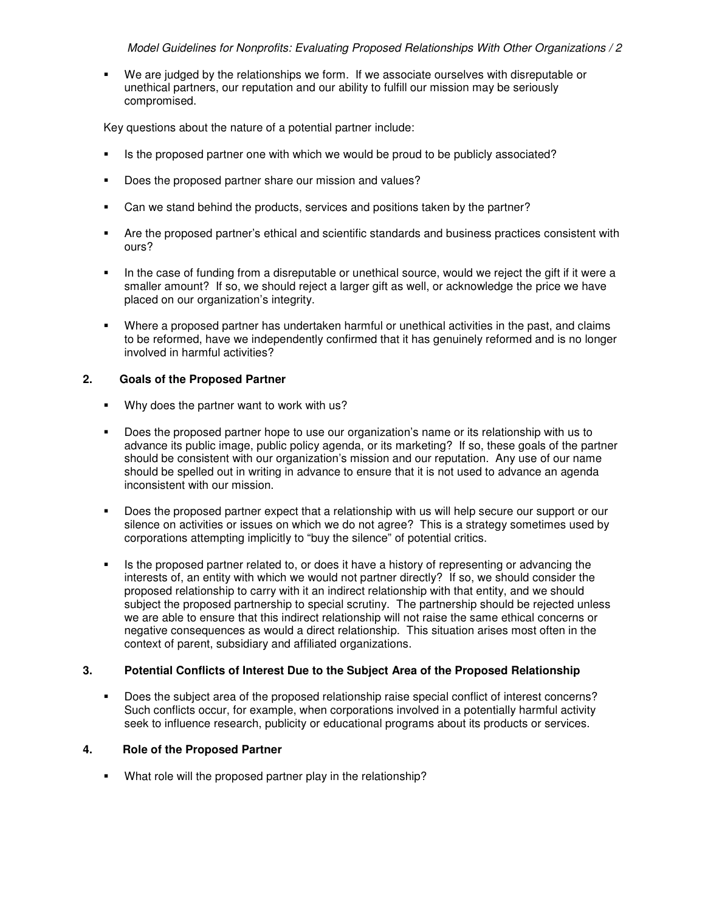We are judged by the relationships we form. If we associate ourselves with disreputable or unethical partners, our reputation and our ability to fulfill our mission may be seriously compromised.

Key questions about the nature of a potential partner include:

- Is the proposed partner one with which we would be proud to be publicly associated?
- Does the proposed partner share our mission and values?
- Can we stand behind the products, services and positions taken by the partner?
- Are the proposed partner's ethical and scientific standards and business practices consistent with ours?
- In the case of funding from a disreputable or unethical source, would we reject the gift if it were a smaller amount? If so, we should reject a larger gift as well, or acknowledge the price we have placed on our organization's integrity.
- Where a proposed partner has undertaken harmful or unethical activities in the past, and claims to be reformed, have we independently confirmed that it has genuinely reformed and is no longer involved in harmful activities?

# **2. Goals of the Proposed Partner**

- Why does the partner want to work with us?
- Does the proposed partner hope to use our organization's name or its relationship with us to advance its public image, public policy agenda, or its marketing? If so, these goals of the partner should be consistent with our organization's mission and our reputation. Any use of our name should be spelled out in writing in advance to ensure that it is not used to advance an agenda inconsistent with our mission.
- **Does the proposed partner expect that a relationship with us will help secure our support or our** silence on activities or issues on which we do not agree? This is a strategy sometimes used by corporations attempting implicitly to "buy the silence" of potential critics.
- Is the proposed partner related to, or does it have a history of representing or advancing the interests of, an entity with which we would not partner directly? If so, we should consider the proposed relationship to carry with it an indirect relationship with that entity, and we should subject the proposed partnership to special scrutiny. The partnership should be rejected unless we are able to ensure that this indirect relationship will not raise the same ethical concerns or negative consequences as would a direct relationship. This situation arises most often in the context of parent, subsidiary and affiliated organizations.

### **3. Potential Conflicts of Interest Due to the Subject Area of the Proposed Relationship**

**Does the subject area of the proposed relationship raise special conflict of interest concerns?** Such conflicts occur, for example, when corporations involved in a potentially harmful activity seek to influence research, publicity or educational programs about its products or services.

# **4. Role of the Proposed Partner**

**What role will the proposed partner play in the relationship?**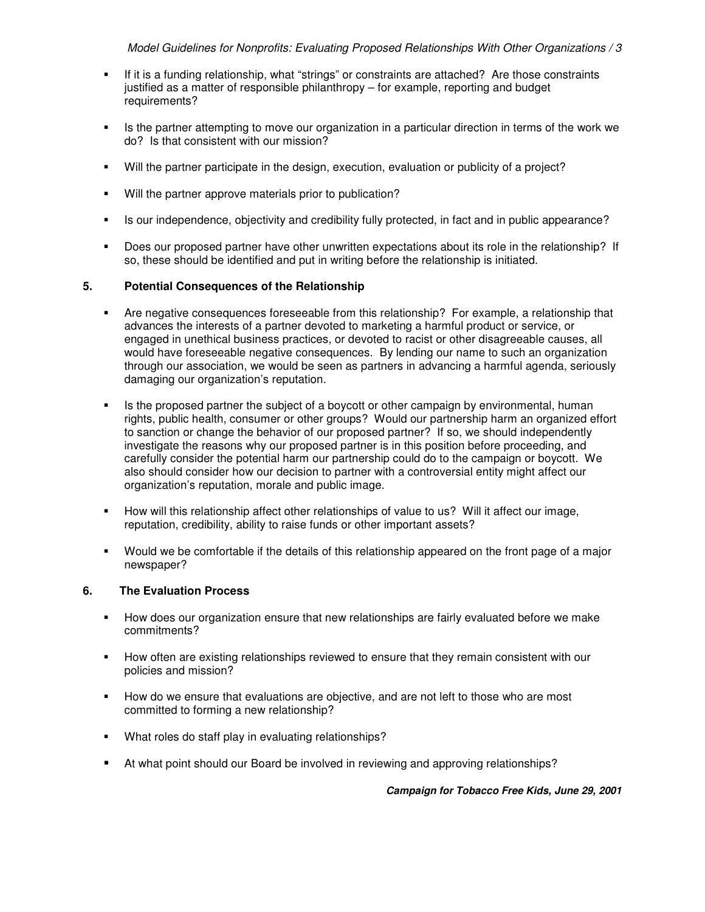- If it is a funding relationship, what "strings" or constraints are attached? Are those constraints justified as a matter of responsible philanthropy – for example, reporting and budget requirements?
- Is the partner attempting to move our organization in a particular direction in terms of the work we do? Is that consistent with our mission?
- Will the partner participate in the design, execution, evaluation or publicity of a project?
- Will the partner approve materials prior to publication?
- Is our independence, objectivity and credibility fully protected, in fact and in public appearance?
- Does our proposed partner have other unwritten expectations about its role in the relationship? If so, these should be identified and put in writing before the relationship is initiated.

# **5. Potential Consequences of the Relationship**

- Are negative consequences foreseeable from this relationship? For example, a relationship that advances the interests of a partner devoted to marketing a harmful product or service, or engaged in unethical business practices, or devoted to racist or other disagreeable causes, all would have foreseeable negative consequences. By lending our name to such an organization through our association, we would be seen as partners in advancing a harmful agenda, seriously damaging our organization's reputation.
- Is the proposed partner the subject of a boycott or other campaign by environmental, human rights, public health, consumer or other groups? Would our partnership harm an organized effort to sanction or change the behavior of our proposed partner? If so, we should independently investigate the reasons why our proposed partner is in this position before proceeding, and carefully consider the potential harm our partnership could do to the campaign or boycott. We also should consider how our decision to partner with a controversial entity might affect our organization's reputation, morale and public image.
- How will this relationship affect other relationships of value to us? Will it affect our image, reputation, credibility, ability to raise funds or other important assets?
- Would we be comfortable if the details of this relationship appeared on the front page of a major newspaper?

### **6. The Evaluation Process**

- How does our organization ensure that new relationships are fairly evaluated before we make commitments?
- How often are existing relationships reviewed to ensure that they remain consistent with our policies and mission?
- **How do we ensure that evaluations are objective, and are not left to those who are most** committed to forming a new relationship?
- What roles do staff play in evaluating relationships?
- At what point should our Board be involved in reviewing and approving relationships?

**Campaign for Tobacco Free Kids, June 29, 2001**